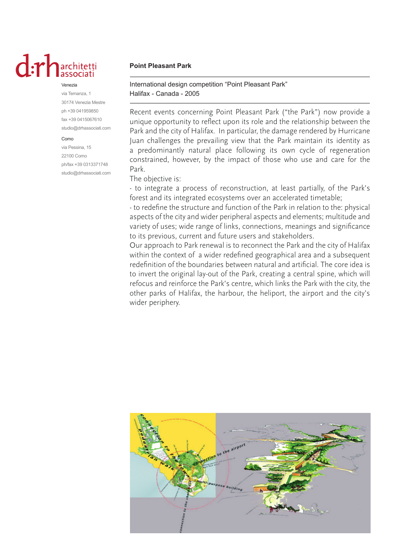# $dx$

#### Venezia

via Temanza, 1 30174 Venezia Mestre ph +39 041959850 fax +39 0415067610 studio@drhassociati.com

#### Como

via Pessina, 15 22100 Como ph/fax +39 0313371748 studio@drhassociati.com

## **Point Pleasant Park**

International design competition "Point Pleasant Park" Halifax - Canada - 2005

Recent events concerning Point Pleasant Park ("the Park") now provide a unique opportunity to reflect upon its role and the relationship between the Park and the city of Halifax. In particular, the damage rendered by Hurricane Juan challenges the prevailing view that the Park maintain its identity as a predominantly natural place following its own cycle of regeneration constrained, however, by the impact of those who use and care for the Park.

### The objective is:

- to integrate a process of reconstruction, at least partially, of the Park's forest and its integrated ecosystems over an accelerated timetable;

- to redefine the structure and function of the Park in relation to the: physical aspects of the city and wider peripheral aspects and elements; multitude and variety of uses; wide range of links, connections, meanings and significance to its previous, current and future users and stakeholders.

Our approach to Park renewal is to reconnect the Park and the city of Halifax within the context of a wider redefined geographical area and a subsequent redefinition of the boundaries between natural and artificial. The core idea is to invert the original lay-out of the Park, creating a central spine, which will refocus and reinforce the Park's centre, which links the Park with the city, the other parks of Halifax, the harbour, the heliport, the airport and the city's wider periphery.